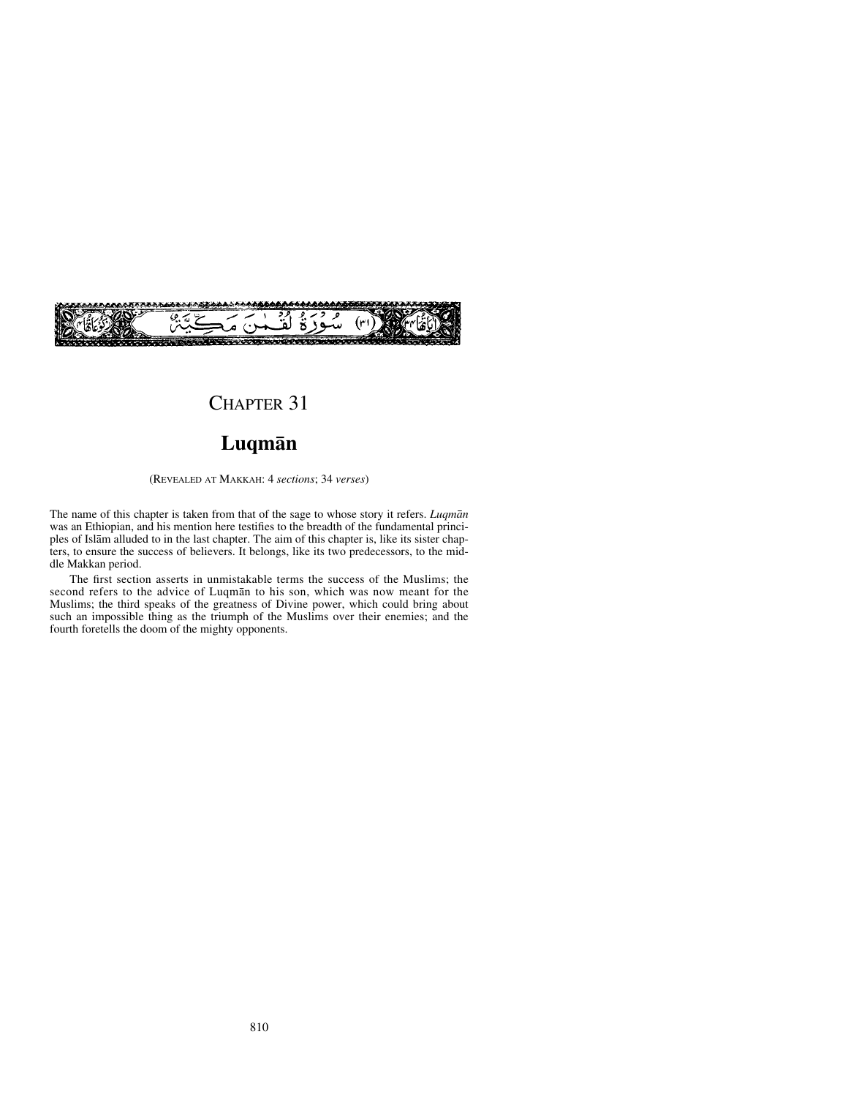

# CHAPTER 31

## **Luqmån**

(REVEALED AT MAKKAH: 4 *sections*; 34 *verses*)

The name of this chapter is taken from that of the sage to whose story it refers. *Luqmån* was an Ethiopian, and his mention here testifies to the breadth of the fundamental principles of Islåm alluded to in the last chapter. The aim of this chapter is, like its sister chapters, to ensure the success of believers. It belongs, like its two predecessors, to the middle Makkan period.

The first section asserts in unmistakable terms the success of the Muslims; the second refers to the advice of Luqmån to his son, which was now meant for the Muslims; the third speaks of the greatness of Divine power, which could bring about such an impossible thing as the triumph of the Muslims over their enemies; and the fourth foretells the doom of the mighty opponents.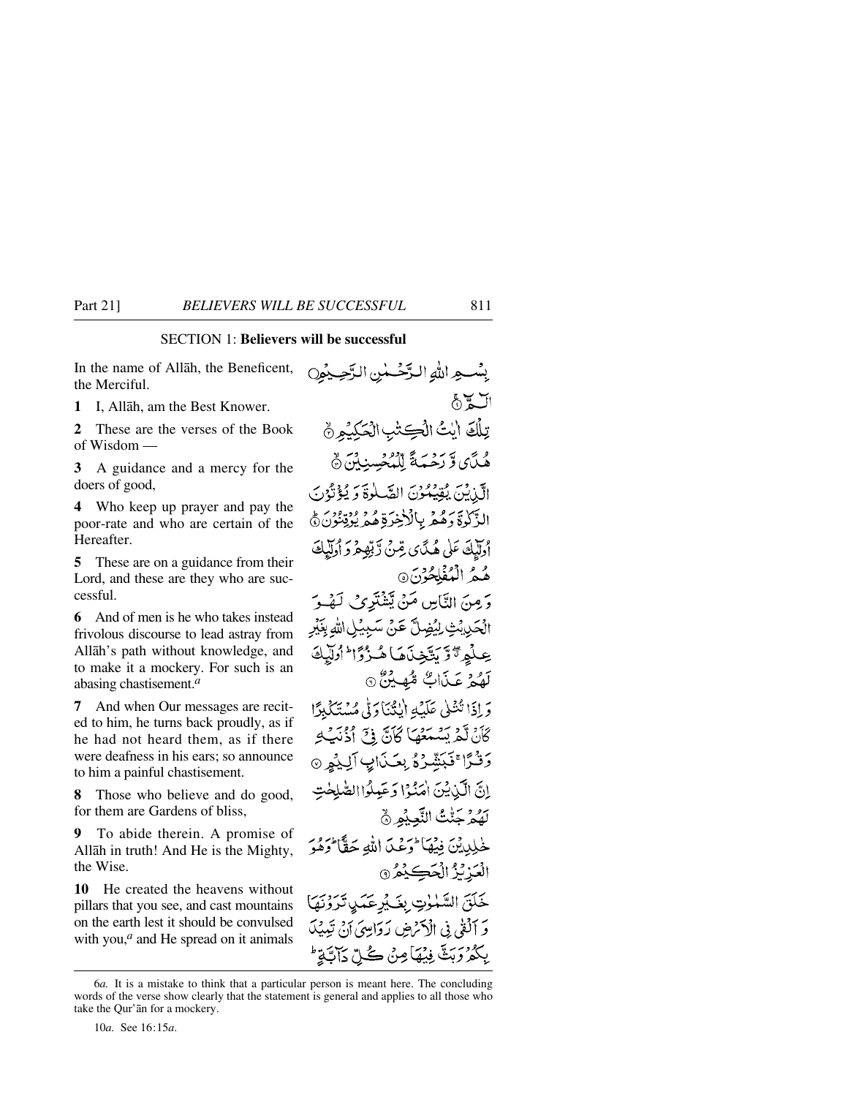### SECTION 1: **Believers will be successful**

In the name of Allåh, the Beneficent, the Merciful.

**1** I, Allåh, am the Best Knower.

**2** These are the verses of the Book of Wisdom —

**3** A guidance and a mercy for the doers of good,

**4** Who keep up prayer and pay the poor-rate and who are certain of the **Hereafter** 

**5** These are on a guidance from their Lord, and these are they who are successful.

**6** And of men is he who takes instead frivolous discourse to lead astray from Allåh's path without knowledge, and to make it a mockery. For such is an abasing chastisement.*<sup>a</sup>*

**7** And when Our messages are recited to him, he turns back proudly, as if he had not heard them, as if there were deafness in his ears; so announce to him a painful chastisement.

**8** Those who believe and do good, for them are Gardens of bliss,

**9** To abide therein. A promise of Allåh in truth! And He is the Mighty, the Wise.

**10** He created the heavens without pillars that you see, and cast mountains on the earth lest it should be convulsed with you,<sup>*a*</sup> and He spread on it animals بِسْبِهِ اللهِ التَّخْسُنِ الرَّحِيْمِيِّ العالج تِلْكَ أيْتُ الْكِتْبِ الْحَكِيْمِيِّ وْ مَى وَّ رَجْبَةً لِّلْمُجْسِنِينَ ۞ الَّنْ يُنْ يُقِيْهُوْنَ الصَّلْوَةَ وَيُؤْتُوْنَ الزَّكْرِةَ وَهُمْ بِالْأَخِرَةِ هُمْ يُؤْتِنُوْنَ ﴾ أُولَيْكَ عَلَى هُدَّى صِّنَى لَّهِ تِعْمَرَ دَأُولَيْكَ هُمُ الْمُفْلِحُنِّنَ۞ وَ مِنَ النَّاسِ مَنْ تِّشْتَرِي لَهُ وَ الْحَدِيْتِ لِيُضِلَّ عَنْ سَبِيْلِ اللهِ بِغَيْرِ عِبْلُمِ تَوَّتَيْخِذَهَا هُـزُوَّا ۖ أُولَّيْكَ لَهُمْ عَذَابٌ مُّهِينٌ ٥ وَ إِذَا تُنْظِي عَلَيْهِ أَيْتُنَا دَلِّي مُسْتَكَبِدًا كَأَنْ لَّمْ يَسْمَعْهَا كَأَنَّ ۚ ذَ ۚ أَذُنِّبَ ۖ وَ وَفَرًا ۚفَبَشِّرُهُ بِعَـٰذَابِ اَلِيْهِمْ ۞ إِنَّ الَّيْنِ يُنَ إِمَيْهُمْ وَعَبِيلُوا الصَّلَحْتِ لَهُمْ جَنّْتُ النَّعِيْمِ ۞ خْلِيدِيْنَ فِيْهَا تُرَعْبَ اللَّهِ حَقًّا تُرَهُوَ الْعَزِيْزُ الْحَكِيْمُ ۞ خَلَقَ السَّمْوٰتِ بِغَكْرِعَمَي تَرَوْنَهَا وَ ٱلَّفَىٰ فِي الْأَرْضِ لَهُ وَالِيهِ ۚ إِنِّي تَبِيبُكَ بِكُمْرَ رَبَثَّ فِيُهَا مِنْ كُلِّ دَآبَةٍ ۚ

10*a.* See 16:15*a*.

<sup>6</sup>*a.* It is a mistake to think that a particular person is meant here. The concluding words of the verse show clearly that the statement is general and applies to all those who take the Qur'ån for a mockery.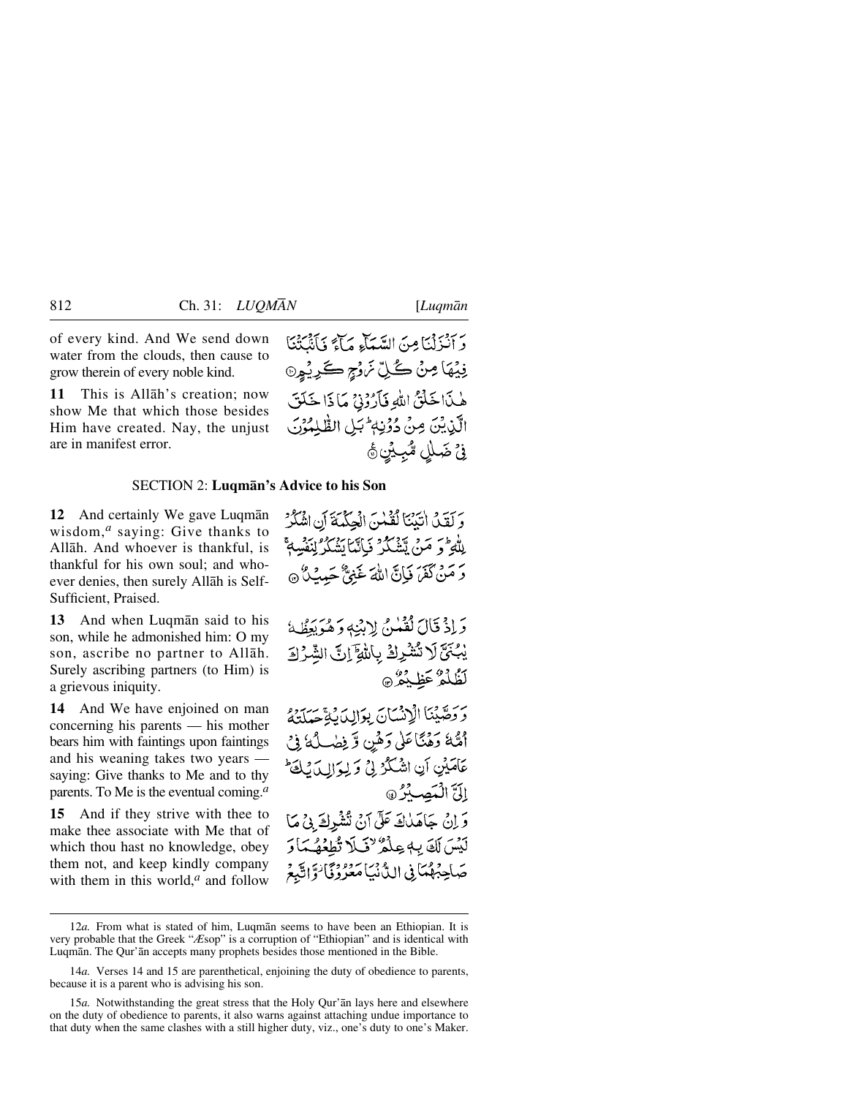of every kind. And We send down water from the clouds, then cause to grow therein of every noble kind.

**11** This is Allåh's creation; now show Me that which those besides Him have created. Nay, the unjust are in manifest error.

دَ أَنْزَلْنَا مِنَ السَّيَاءِ مَآءَ وَأَنْتَكَتْنَا فِيۡهَا مِنۡ ڪُلِّ نَرۡزُ ۭ ڪَرِيۡوِنَ هٰذَاخَلْنُ اللَّهِ فَأَرُوْنِيٌ مَا ذَا خَلَقَ الَّذِيْنَ مِنْ دُوۡنِهٖ ۚ بَلِ الظّٰلِمُوۡنَ فِيُ ضَلْلٍ مُّبِيُنٍ ﴾

### SECTION 2: **Luqmån's Advice to his Son**

**12** And certainly We gave Luqmån wisdom,*<sup>a</sup>* saying: Give thanks to Allåh. And whoever is thankful, is thankful for his own soul; and whoever denies, then surely Allåh is Self-Sufficient, Praised.

**13** And when Luqmån said to his son, while he admonished him: O my son, ascribe no partner to Allåh. Surely ascribing partners (to Him) is a grievous iniquity.

**14** And We have enjoined on man concerning his parents — his mother bears him with faintings upon faintings and his weaning takes two years saying: Give thanks to Me and to thy parents. To Me is the eventual coming.*<sup>a</sup>*

**15** And if they strive with thee to make thee associate with Me that of which thou hast no knowledge, obey them not, and keep kindly company with them in this world,<sup>*a*</sup> and follow وَ لَقِينَ اٰتَيْنَا لَقَيْسَ الْجِكْيَةَ أَنِ اشْكُرْ لِلْهِ ۚ وَ مَنْ يَتَّشَكَّرُ فَإِنَّمَا يَشْكُرُ لِنَفْسِهِ ۚ وَ مَنْ كَفَرَ فَيَانَ اللَّهَ غَنِيٌّ حَسِبٌ كُنَّ

وَاذْ قَالَ لَقُمْنُ لِابْنِهِ وَهُوَيَطِّكُ يْبُنَّ لَا تُشْرِكْ بِاللَّهِ إِنَّ الشَّرْكَ لَظُلُمٌ عَظِيْمٌ ۞

وَوَصَّيْنَا الْإِنْسَانَ بِوَالِدَيْ صَدَرَهُ أَشَّةَ وَهُنَّا عَلَىٰ وَهُمِن وَّ فِضَـٰلُهُ فِي عَامَيْنِ أَنِ اشْكُرُ لِيُ وَلِوَالِ لَيْكُ الَيَّ الْمَصِلَّرُ @ وَ إِنْ جَاهَلْكَ عَلَى آنُ تُشْرِكَ بِيُ مَا لَيْسَ لَكَ بِهِ عِلْمٌ لِنَّكَلَ تُطِعُهُ مَا رَ صَاحِبُهُمَانِي الدُّنْيَامَعُرُرُنَا تَوَاتَبَعُ

<sup>12</sup>*a.* From what is stated of him, Luqmån seems to have been an Ethiopian. It is very probable that the Greek "*Æ*sop" is a corruption of "Ethiopian" and is identical with Luqmån. The Qur'ån accepts many prophets besides those mentioned in the Bible.

<sup>14</sup>*a.* Verses 14 and 15 are parenthetical, enjoining the duty of obedience to parents, because it is a parent who is advising his son.

<sup>15</sup>*a.* Notwithstanding the great stress that the Holy Qur'ån lays here and elsewhere on the duty of obedience to parents, it also warns against attaching undue importance to that duty when the same clashes with a still higher duty, viz., one's duty to one's Maker.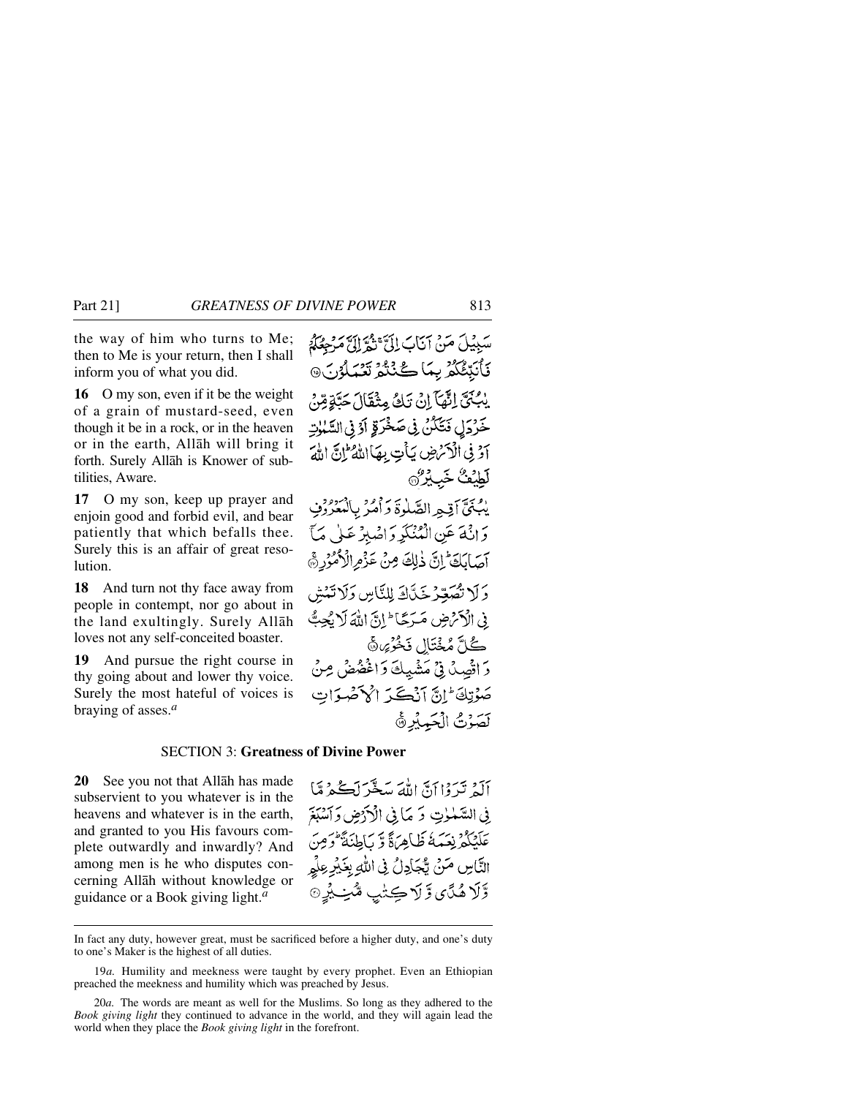the way of him who turns to Me; then to Me is your return, then I shall inform you of what you did.

**16** O my son, even if it be the weight of a grain of mustard-seed, even though it be in a rock, or in the heaven or in the earth, Allåh will bring it forth. Surely Allåh is Knower of subtilities, Aware.

**17** O my son, keep up prayer and enjoin good and forbid evil, and bear patiently that which befalls thee. Surely this is an affair of great resolution.

**18** And turn not thy face away from people in contempt, nor go about in the land exultingly. Surely Allåh loves not any self-conceited boaster.

**19** And pursue the right course in thy going about and lower thy voice. Surely the most hateful of voices is braying of asses.*<sup>a</sup>*

سَبِيلَ مَنْ أَنَابَ إِلَيَّ بِيُمِّ إِلَيَّ مَدْحِمَكُمْ فَأَنَبِّئُكُمُ بِمَا كُنْتُمُ تَعْبَلُوْنَ۞ يْبُكِّيَّ إِنَّهَآ إِنْ تَكُّ مِثْقَالَ حَيَّةٍ مِّنْ خَرْدَلِ فَتَكَكَّنُّ فِي صَخْرَقِ أَوْ فِي السَّنْبِلِتِ آَدْ فِي الْآَسُ ضِ يَأْتِ بِهَا اللَّهُ إِنَّ اللَّهَ لطبف خبيره يْبُنِيِّ أَقِيمِ الصَّلْوَةَ وَأَمْرُ بِالْهَعْرُوْفِ وَإِنَّهَ عَنِ الْمُنْكَرِ وَاصْبِرْ عَلَى مَآ آصَابَكَ إِنَّ ذٰلِكَ مِنْ عَزْمِ الْأُمُّرُرِ ﴾ دَ لَا تُصَعّرُ خَدّاكَه لِلنَّاسِ دَلَا تَمْش فِي الْأَحْرَضِ مَيْرَجًا ۖ إِنَّ اللَّهَ لَا يُجِبُّ

ڪُلَّ مُخْتَال فَخُرُ*مَ*ا هَ وَاتَّصِدُنِّي مَشْيِكَ وَاغْضُضْ مِنْ صَوْتِكَ إِنَّ أَنْكَبَ إِلَىٰ صَوَاتِ لَصَوْتُ الْجَمِيْرِ ﴾

### SECTION 3: **Greatness of Divine Power**

**20** See you not that Allåh has made subservient to you whatever is in the heavens and whatever is in the earth, and granted to you His favours complete outwardly and inwardly? And among men is he who disputes concerning Allåh without knowledge or guidance or a Book giving light.*<sup>a</sup>*

آلهُ تَيْرُوْا أَنَّ اللَّهَ مَبَيْتُرَ لَڪُمْ مَّا في السَّمْلِتِ وَ مَا فِي الْأَدْضِ وَٱسْبَغَ عَلَيْكُمْ نِعَيْدَهُ ظَاهِرَةً وَ بِأَطِنَةً فَوَمِنَ النَّاسِ مَنْ يُّجَادِلُ فِي اللَّهِ بِغَيْرِ عِلْمٍ وَّلَا هُدَّي وَّلَا ڪِتُب هُنِـَـبُرِ ۞

In fact any duty, however great, must be sacrificed before a higher duty, and one's duty to one's Maker is the highest of all duties.

<sup>19</sup>*a.* Humility and meekness were taught by every prophet. Even an Ethiopian preached the meekness and humility which was preached by Jesus.

<sup>20</sup>*a.* The words are meant as well for the Muslims. So long as they adhered to the *Book giving light* they continued to advance in the world, and they will again lead the world when they place the *Book giving light* in the forefront.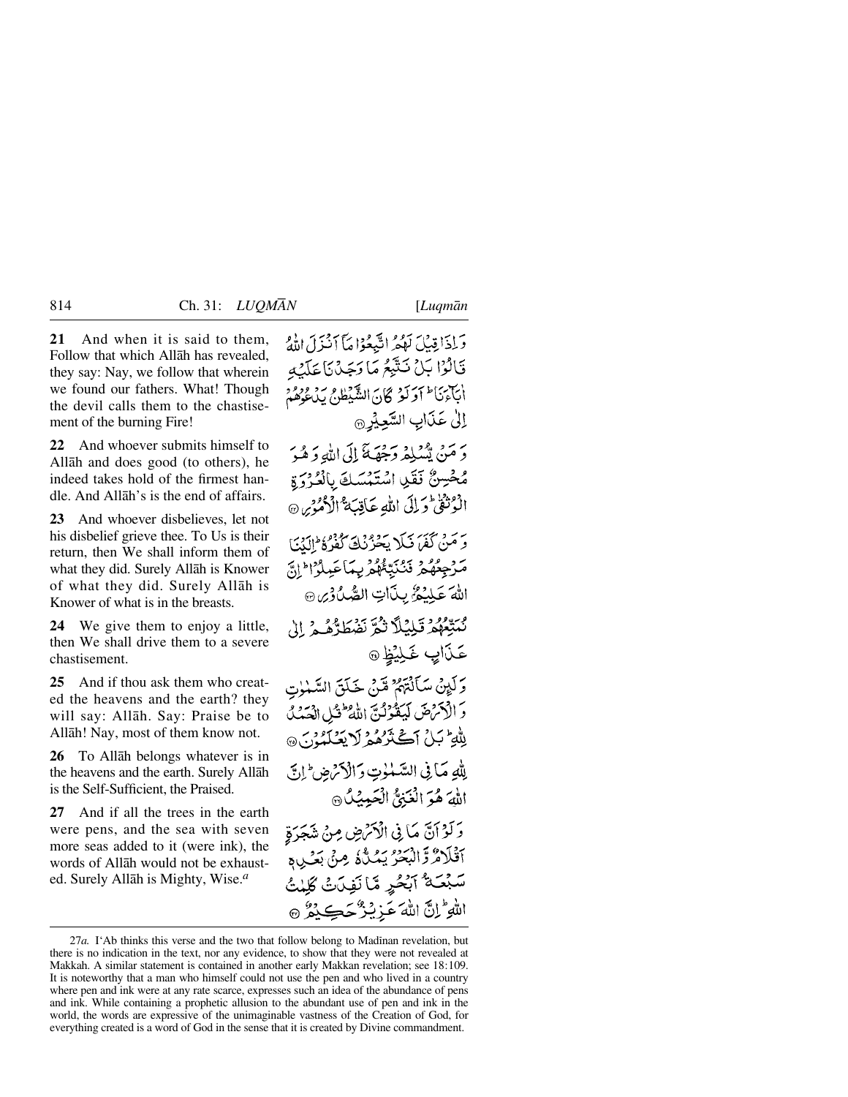**21** And when it is said to them, Follow that which Allåh has revealed, they say: Nay, we follow that wherein we found our fathers. What! Though the devil calls them to the chastisement of the burning Fire!

**22** And whoever submits himself to Allåh and does good (to others), he indeed takes hold of the firmest handle. And Allåh's is the end of affairs.

**23** And whoever disbelieves, let not his disbelief grieve thee. To Us is their return, then We shall inform them of what they did. Surely Allåh is Knower of what they did. Surely Allåh is Knower of what is in the breasts.

**24** We give them to enjoy a little, then We shall drive them to a severe chastisement.

**25** And if thou ask them who created the heavens and the earth? they will say: Allåh. Say: Praise be to Allåh! Nay, most of them know not.

**26** To Allåh belongs whatever is in the heavens and the earth. Surely Allåh is the Self-Sufficient, the Praised.

**27** And if all the trees in the earth were pens, and the sea with seven more seas added to it (were ink), the words of Allåh would not be exhausted. Surely Allåh is Mighty, Wise.*<sup>a</sup>*

وَإِذَا قِبِيلَ لَهُمُهُ النَّبِعُوْا مَآ أَنْنَزَلَ اللَّهُ قَالُوْا بَلْ نَتَّبِعُ مَا رَجَدْنَا عَلَيْهِ أنآء بأط أوكنز كان الشبطام بدو ووء إلىٰ عَذَابِ السَّعِيْرِ @ دِ مَنْ يَسْكِمْ دَحِقِيَةَ إِلَى اللَّهِ دَهْدَ مُحْسِنٌ نَقَلِ اسْتَمْسَكَ بِالْعُرْوَةِ الْمُرْثَقْ وَلِلِّي اللَّهِ عَاقِبَةٌ الْأُمُوْسِ ۞ رَ مَنْ كَفَرَ ذَلِكَ يَحْرُّنُكَ كَفَرُهُ إِلَيْنَ مَرْجِعُهُمْ نَنْنَبِّئُهُمْ بِمَاعَيِلُوْا ِ إِنَّ اللهَ عَلِيْمُ بِنَاتِ الصُّدُوْيِنِ بْسَعْهُمْ قَبْلِيْلاً ثُمَّ نَضْطَدُّهُ ﴾ إِلِ عَدَابٍ غَـلِيۡظِ ۞ وَلَيْنِنْ سَأَلْتَهُمْ مِّنْ خَلَقَ السَّمْلُوتِ وَ الْأَمْرَضَ لَيَقُوْلُنَّ اللَّهُ ۖ فَيْلِ الْعَدَلُ لِلْهِ تَبِلُ أَكْثَرُهُمُ لَا يَعْلَمُونَ ۞ لِلَّهِ مَا فِي السَّلْوٰتِ وَالْأَمْ ضِ إِنَّ اللهَ هُوَ الْغَنِيُّ الْحَمِيْلُ وَلَوْاَنَّ مَا فِي الْكَرْضِ مِنْ شَجَرَةٍ ٱقْلَامٌ وَّالبَحْرُ يَمُـٰلُّهُ مِنْ بَعۡـٰ بِهِ سَبْعَـةُ آبُحُرٍ مَّا نَفِيَتَ كَلِمْتُ اللَّهِ إِنَّ اللَّهَ عَزِيْزٌ حَكِيْرٌ ﴾

<sup>27</sup>*a*. I'Ab thinks this verse and the two that follow belong to Madinan revelation, but there is no indication in the text, nor any evidence, to show that they were not revealed at Makkah. A similar statement is contained in another early Makkan revelation; see 18:109. It is noteworthy that a man who himself could not use the pen and who lived in a country where pen and ink were at any rate scarce, expresses such an idea of the abundance of pens and ink. While containing a prophetic allusion to the abundant use of pen and ink in the world, the words are expressive of the unimaginable vastness of the Creation of God, for everything created is a word of God in the sense that it is created by Divine commandment.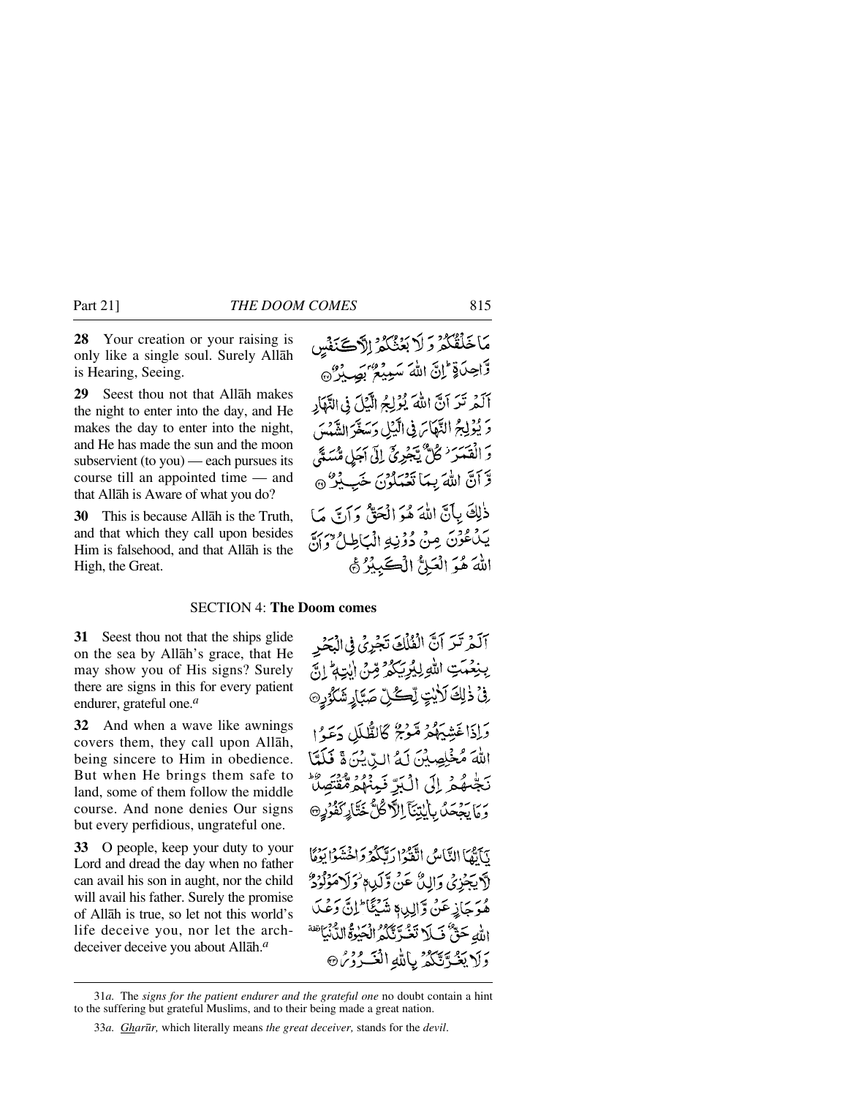**28** Your creation or your raising is only like a single soul. Surely Allåh is Hearing, Seeing.

**29** Seest thou not that Allåh makes the night to enter into the day, and He makes the day to enter into the night, and He has made the sun and the moon subservient (to you) — each pursues its course till an appointed time — and that Allåh is Aware of what you do?

**30** This is because Allåh is the Truth, and that which they call upon besides Him is falsehood, and that Allåh is the High, the Great.

#### SECTION 4: **The Doom comes**

**31** Seest thou not that the ships glide on the sea by Allåh's grace, that He may show you of His signs? Surely there are signs in this for every patient endurer, grateful one.*<sup>a</sup>*

**32** And when a wave like awnings covers them, they call upon Allåh, being sincere to Him in obedience. But when He brings them safe to land, some of them follow the middle course. And none denies Our signs but every perfidious, ungrateful one.

**33** O people, keep your duty to your Lord and dread the day when no father can avail his son in aught, nor the child will avail his father. Surely the promise of Allåh is true, so let not this world's life deceive you, nor let the archdeceiver deceive you about Allåh.*<sup>a</sup>*

آلَمْ تَرَ آنَّ الْفُلُكَ تَجْرِيُّ فِي الْبَحْرِ بِنِعْمَتِ اللَّهِ لِيُرِيَكُمْ قِنْ الْبَتِهِ ۚ إِنَّ فِيۡ ذٰلِكَ لَأَيۡتٍ لِّكُلِّ صَبَّارٍ شَكَرٌ مِنَ وَإِذَا غَشِيَهُمْ مَّوْمٌ كَالظُّلَلِ دَعَوْا اللهَ مُخْلِصِيْنَ لَهُ الرِّينُ نَ قَلَمَّا نَجْسُهُمْ إِلَى الْبَرِّ نَبِينُهُمْ مُّقْتَصِلًا وَمَا يَحْمَدُ بِأَيْتِنَآ إِلاَّكُنُّ خَتَّارِ كَفُرُرِ @ نِّأَتْمَا النَّاسُ اتَّقَوْا دِيَّكُمْ دَاخْشَوْا بَدْمًا لآيجزِي وَالِنَّ عَنْ وَلَكِ وَلَا وَلَا مَوْلُوْدٌ مْرَجَازِعَنْ وَّالِدِي شَيْئًا ۖ إِنَّ دَعْهِ الله حَقٌّ فَبِلاَ تَغُدَّنَّكُمُ الْحَيْرَةُ الدُّنْيَاتِةَ وَلَا يَغُرَّتِكُمُّ بِاللَّهِ الْغَــُرُوْسُ

<sup>31</sup>*a.* The *signs for the patient endurer and the grateful one* no doubt contain a hint to the suffering but grateful Muslims, and to their being made a great nation.

<sup>33</sup>*a. Ghar∂r,* which literally means *the great deceiver,* stands for the *devil*.